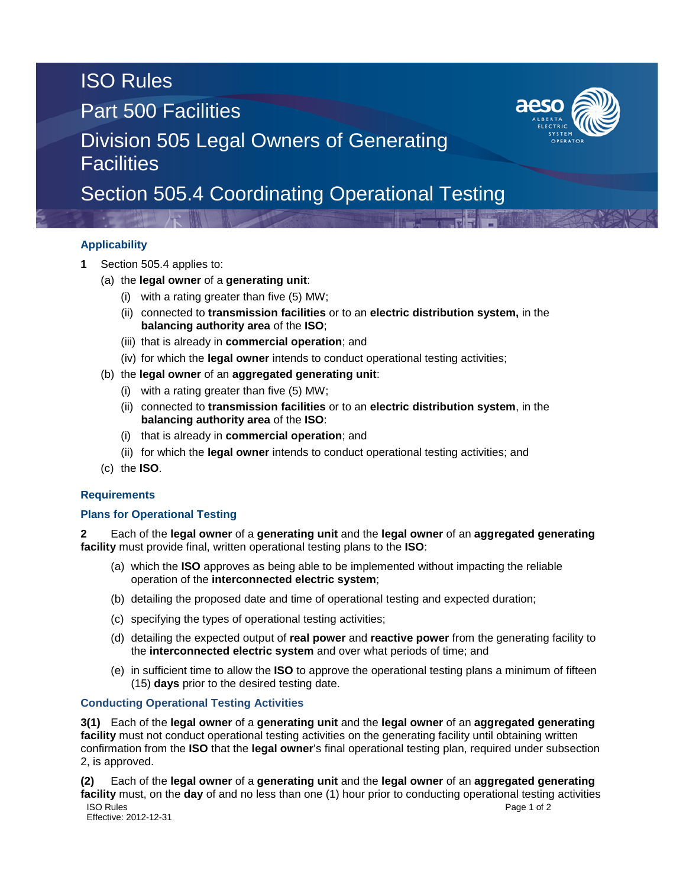# ISO Rules

# Part 500 Facilities

# Division 505 Legal Owners of Generating **Facilities**

Section 505.4 Coordinating Operational Testing

## **Applicability**

- **1** Section 505.4 applies to:
	- (a) the **legal owner** of a **generating unit**:
		- (i) with a rating greater than five (5) MW;
		- (ii) connected to **transmission facilities** or to an **electric distribution system,** in the **balancing authority area** of the **ISO**;
		- (iii) that is already in **commercial operation**; and
		- (iv) for which the **legal owner** intends to conduct operational testing activities;
	- (b) the **legal owner** of an **aggregated generating unit**:
		- (i) with a rating greater than five (5) MW;
		- (ii) connected to **transmission facilities** or to an **electric distribution system**, in the **balancing authority area** of the **ISO**:
		- (i) that is already in **commercial operation**; and
		- (ii) for which the **legal owner** intends to conduct operational testing activities; and
	- (c) the **ISO**.

## **Requirements**

#### **Plans for Operational Testing**

**2** Each of the **legal owner** of a **generating unit** and the **legal owner** of an **aggregated generating facility** must provide final, written operational testing plans to the **ISO**:

- (a) which the **ISO** approves as being able to be implemented without impacting the reliable operation of the **interconnected electric system**;
- (b) detailing the proposed date and time of operational testing and expected duration;
- (c) specifying the types of operational testing activities;
- (d) detailing the expected output of **real power** and **reactive power** from the generating facility to the **interconnected electric system** and over what periods of time; and
- (e) in sufficient time to allow the **ISO** to approve the operational testing plans a minimum of fifteen (15) **days** prior to the desired testing date.

### **Conducting Operational Testing Activities**

**3(1)** Each of the **legal owner** of a **generating unit** and the **legal owner** of an **aggregated generating facility** must not conduct operational testing activities on the generating facility until obtaining written confirmation from the **ISO** that the **legal owner**'s final operational testing plan, required under subsection 2, is approved.

ISO Rules Page 1 of 2 Effective: 2012-12-31 **(2)** Each of the **legal owner** of a **generating unit** and the **legal owner** of an **aggregated generating facility** must, on the **day** of and no less than one (1) hour prior to conducting operational testing activities<br>ISO Rules